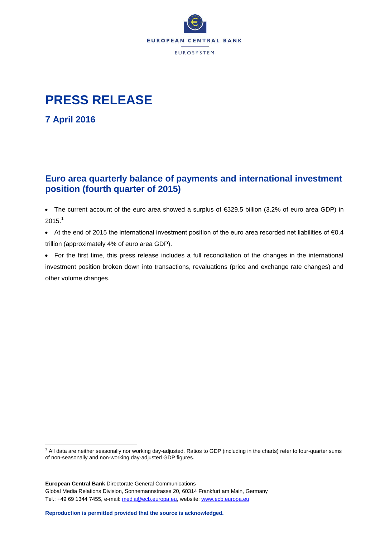

# **PRESS RELEASE**

**7 April 2016**

# **Euro area quarterly balance of payments and international investment position (fourth quarter of 2015)**

 The current account of the euro area showed a surplus of €329.5 billion (3.2% of euro area GDP) in  $2015.<sup>1</sup>$ 

- At the end of 2015 the international investment position of the euro area recorded net liabilities of €0.4 trillion (approximately 4% of euro area GDP).
- For the first time, this press release includes a full reconciliation of the changes in the international investment position broken down into transactions, revaluations (price and exchange rate changes) and other volume changes.

 $\overline{a}$ <sup>1</sup> All data are neither seasonally nor working day-adjusted. Ratios to GDP (including in the charts) refer to four-quarter sums of non-seasonally and non-working day-adjusted GDP figures.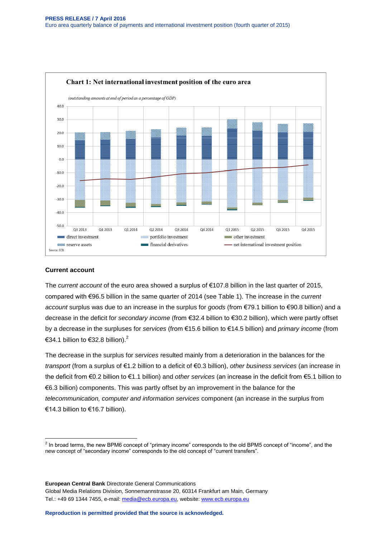

# **Current account**

The *current account* of the euro area showed a surplus of €107.8 billion in the last quarter of 2015, compared with €96.5 billion in the same quarter of 2014 (see Table 1). The increase in the *current account* surplus was due to an increase in the surplus for *goods* (from €79.1 billion to €90.8 billion) and a decrease in the deficit for *secondary income* (from €32.4 billion to €30.2 billion), which were partly offset by a decrease in the surpluses for *services* (from €15.6 billion to €14.5 billion) and *primary income* (from €34.1 billion to €32.8 billion).<sup>2</sup>

The decrease in the surplus for *services* resulted mainly from a deterioration in the balances for the *transport* (from a surplus of €1.2 billion to a deficit of €0.3 billion), *other business services* (an increase in the deficit from €0.2 billion to €1.1 billion) and *other services* (an increase in the deficit from €5.1 billion to €6.3 billion) components. This was partly offset by an improvement in the balance for the *telecommunication, computer and information services* component (an increase in the surplus from €14.3 billion to €16.7 billion).

**European Central Bank** Directorate General Communications Global Media Relations Division, Sonnemannstrasse 20, 60314 Frankfurt am Main, Germany Tel.: +49 69 1344 7455, e-mail: [media@ecb.europa.eu,](mailto:media@ecb.europa.eu) website[: www.ecb.europa.eu](http://www.ecb.europa.eu/)

 2 In broad terms, the new BPM6 concept of "primary income" corresponds to the old BPM5 concept of "income", and the new concept of "secondary income" corresponds to the old concept of "current transfers".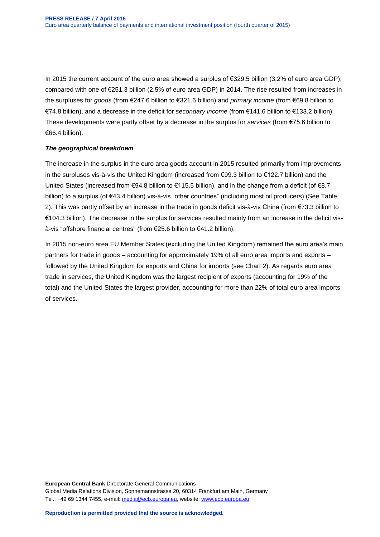In 2015 the current account of the euro area showed a surplus of €329.5 billion (3.2% of euro area GDP), compared with one of €251.3 billion (2.5% of euro area GDP) in 2014. The rise resulted from increases in the surpluses for *goods* (from €247.6 billion to €321.6 billion) and *primary income* (from €69.8 billion to €74.8 billion), and a decrease in the deficit for *secondary income* (from €141.6 billion to €133.2 billion). These developments were partly offset by a decrease in the surplus for *services* (from €75.6 billion to €66.4 billion).

# *The geographical breakdown*

The increase in the surplus in the euro area goods account in 2015 resulted primarily from improvements in the surpluses vis-à-vis the United Kingdom (increased from €99.3 billion to €122.7 billion) and the United States (increased from €94.8 billion to €115.5 billion), and in the change from a deficit (of €8.7 billion) to a surplus (of €43.4 billion) vis-à-vis "other countries" (including most oil producers) (See Table 2). This was partly offset by an increase in the trade in goods deficit vis-à-vis China (from €73.3 billion to €104.3 billion). The decrease in the surplus for services resulted mainly from an increase in the deficit visà-vis "offshore financial centres" (from €25.6 billion to €41.2 billion).

In 2015 non-euro area EU Member States (excluding the United Kingdom) remained the euro area's main partners for trade in goods – accounting for approximately 19% of all euro area imports and exports – followed by the United Kingdom for exports and China for imports (see Chart 2). As regards euro area trade in services, the United Kingdom was the largest recipient of exports (accounting for 19% of the total) and the United States the largest provider, accounting for more than 22% of total euro area imports of services.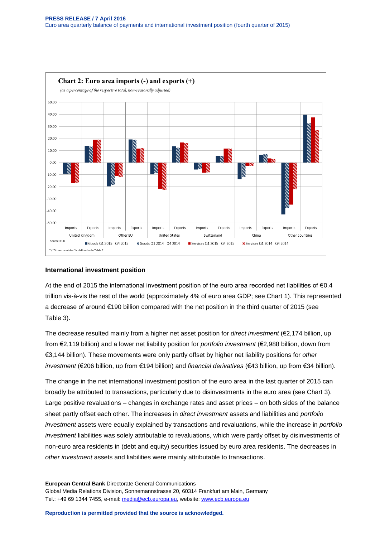

### **International investment position**

At the end of 2015 the international investment position of the euro area recorded net liabilities of €0.4 trillion vis-à-vis the rest of the world (approximately 4% of euro area GDP; see Chart 1). This represented a decrease of around €190 billion compared with the net position in the third quarter of 2015 (see Table 3).

The decrease resulted mainly from a higher net asset position for *direct investment* (€2,174 billion, up from €2,119 billion) and a lower net liability position for *portfolio investment* (€2,988 billion, down from €3,144 billion). These movements were only partly offset by higher net liability positions for *other investment* (€206 billion, up from €194 billion) and *financial derivatives* (€43 billion, up from €34 billion).

The change in the net international investment position of the euro area in the last quarter of 2015 can broadly be attributed to transactions, particularly due to disinvestments in the euro area (see Chart 3). Large positive revaluations – changes in exchange rates and asset prices – on both sides of the balance sheet partly offset each other. The increases in *direct investment* assets and liabilities and *portfolio investment* assets were equally explained by transactions and revaluations, while the increase in *portfolio investment* liabilities was solely attributable to revaluations, which were partly offset by disinvestments of non-euro area residents in (debt and equity) securities issued by euro area residents. The decreases in *other investment* assets and liabilities were mainly attributable to transactions.

**European Central Bank** Directorate General Communications Global Media Relations Division, Sonnemannstrasse 20, 60314 Frankfurt am Main, Germany Tel.: +49 69 1344 7455, e-mail: [media@ecb.europa.eu,](mailto:media@ecb.europa.eu) website[: www.ecb.europa.eu](http://www.ecb.europa.eu/)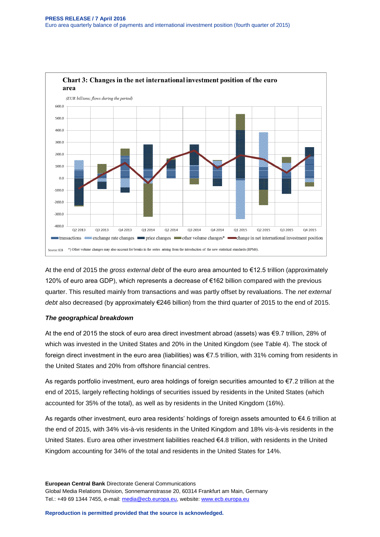

At the end of 2015 the *gross external debt* of the euro area amounted to €12.5 trillion (approximately 120% of euro area GDP), which represents a decrease of €162 billion compared with the previous quarter. This resulted mainly from transactions and was partly offset by revaluations. The *net external debt* also decreased (by approximately €246 billion) from the third quarter of 2015 to the end of 2015.

# *The geographical breakdown*

At the end of 2015 the stock of euro area direct investment abroad (assets) was €9.7 trillion, 28% of which was invested in the United States and 20% in the United Kingdom (see Table 4). The stock of foreign direct investment in the euro area (liabilities) was €7.5 trillion, with 31% coming from residents in the United States and 20% from offshore financial centres.

As regards portfolio investment, euro area holdings of foreign securities amounted to €7.2 trillion at the end of 2015, largely reflecting holdings of securities issued by residents in the United States (which accounted for 35% of the total), as well as by residents in the United Kingdom (16%).

As regards other investment, euro area residents' holdings of foreign assets amounted to €4.6 trillion at the end of 2015, with 34% vis-à-vis residents in the United Kingdom and 18% vis-à-vis residents in the United States. Euro area other investment liabilities reached €4.8 trillion, with residents in the United Kingdom accounting for 34% of the total and residents in the United States for 14%.

**European Central Bank** Directorate General Communications Global Media Relations Division, Sonnemannstrasse 20, 60314 Frankfurt am Main, Germany Tel.: +49 69 1344 7455, e-mail: [media@ecb.europa.eu,](mailto:media@ecb.europa.eu) website[: www.ecb.europa.eu](http://www.ecb.europa.eu/)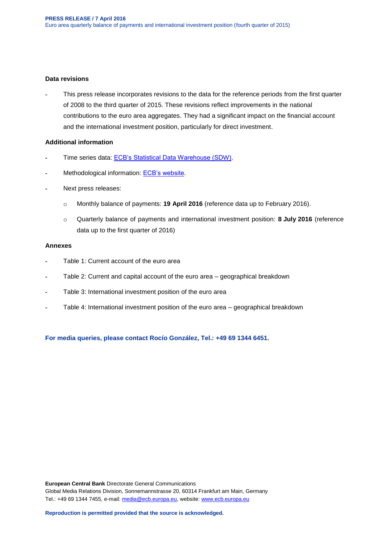#### **Data revisions**

This press release incorporates revisions to the data for the reference periods from the first quarter of 2008 to the third quarter of 2015. These revisions reflect improvements in the national contributions to the euro area aggregates. They had a significant impact on the financial account and the international investment position, particularly for direct investment.

# **Additional information**

- Time series data: [ECB's Statistical Data Warehouse \(SDW\).](http://sdw.ecb.europa.eu/browse.do?node=2018790)
- Methodological information: [ECB's website.](http://www.ecb.europa.eu/stats/external/balance/html/index.en.html)
- Next press releases:
	- o Monthly balance of payments: **19 April 2016** (reference data up to February 2016).
	- o Quarterly balance of payments and international investment position: **8 July 2016** (reference data up to the first quarter of 2016)

#### **Annexes**

- Table 1: Current account of the euro area
- Table 2: Current and capital account of the euro area geographical breakdown
- Table 3: International investment position of the euro area
- Table 4: International investment position of the euro area geographical breakdown

**For media queries, please contact Rocío González, Tel.: +49 69 1344 6451.**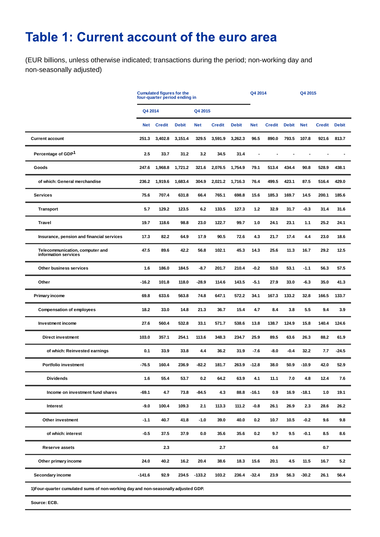# Table 1: Current account of the euro area

(EUR billions, unless otherwise indicated; transactions during the period; non-working day and non-seasonally adjusted)

|                                                         |          | <b>Cumulated figures for the</b><br>four-quarter period ending in |              |            |               | Q4 2014      |            |               | Q4 2015      |            |               |              |
|---------------------------------------------------------|----------|-------------------------------------------------------------------|--------------|------------|---------------|--------------|------------|---------------|--------------|------------|---------------|--------------|
|                                                         | Q4 2014  |                                                                   |              | Q4 2015    |               |              |            |               |              |            |               |              |
|                                                         | Net      | <b>Credit</b>                                                     | <b>Debit</b> | <b>Net</b> | <b>Credit</b> | <b>Debit</b> | <b>Net</b> | <b>Credit</b> | <b>Debit</b> | <b>Net</b> | <b>Credit</b> | <b>Debit</b> |
| <b>Current account</b>                                  | 251.3    | 3,402.8                                                           | 3,151.4      | 329.5      | 3,591.9       | 3,262.3      | 96.5       | 890.0         | 793.5        | 107.8      | 921.6         | 813.7        |
| Percentage of GDP <sup>1</sup>                          | 2.5      | 33.7                                                              | 31.2         | 3.2        | 34.5          | 31.4         |            |               |              |            |               |              |
| Goods                                                   | 247.6    | 1,968.8                                                           | 1,721.2      | 321.6      | 2,076.5       | 1,754.9      | 79.1       | 513.4         | 434.4        | 90.8       | 528.9         | 438.1        |
| of which: General merchandise                           | 236.2    | 1,919.6                                                           | 1,683.4      | 304.9      | 2,021.2       | 1,716.3      | 76.4       | 499.5         | 423.1        | 87.5       | 516.4         | 429.0        |
| <b>Services</b>                                         | 75.6     | 707.4                                                             | 631.8        | 66.4       | 765.1         | 698.8        | 15.6       | 185.3         | 169.7        | 14.5       | 200.1         | 185.6        |
| Transport                                               | 5.7      | 129.2                                                             | 123.5        | 6.2        | 133.5         | 127.3        | 1.2        | 32.9          | 31.7         | $-0.3$     | 31.4          | 31.6         |
| <b>Travel</b>                                           | 19.7     | 118.6                                                             | 98.8         | 23.0       | 122.7         | 99.7         | 1.0        | 24.1          | 23.1         | 1.1        | 25.2          | 24.1         |
| Insurance, pension and financial services               | 17.3     | 82.2                                                              | 64.9         | 17.9       | 90.5          | 72.6         | 4.3        | 21.7          | 17.4         | 4.4        | 23.0          | 18.6         |
| Telecommunication, computer and<br>information services | 47.5     | 89.6                                                              | 42.2         | 56.8       | 102.1         | 45.3         | 14.3       | 25.6          | 11.3         | 16.7       | 29.2          | 12.5         |
| Other business services                                 | 1.6      | 186.0                                                             | 184.5        | $-8.7$     | 201.7         | 210.4        | $-0.2$     | 53.0          | 53.1         | $-1.1$     | 56.3          | 57.5         |
| Other                                                   | $-16.2$  | 101.8                                                             | 118.0        | $-28.9$    | 114.6         | 143.5        | $-5.1$     | 27.9          | 33.0         | $-6.3$     | 35.0          | 41.3         |
| Primary income                                          | 69.8     | 633.6                                                             | 563.8        | 74.8       | 647.1         | 572.2        | 34.1       | 167.3         | 133.2        | 32.8       | 166.5         | 133.7        |
| <b>Compensation of employees</b>                        | 18.2     | 33.0                                                              | 14.8         | 21.3       | 36.7          | 15.4         | 4.7        | 8.4           | 3.8          | 5.5        | 9.4           | 3.9          |
| Investment income                                       | 27.6     | 560.4                                                             | 532.8        | 33.1       | 571.7         | 538.6        | 13.8       | 138.7         | 124.9        | 15.8       | 140.4         | 124.6        |
| <b>Direct investment</b>                                | 103.0    | 357.1                                                             | 254.1        | 113.6      | 348.3         | 234.7        | 25.9       | 89.5          | 63.6         | 26.3       | 88.2          | 61.9         |
| of which: Reinvested earnings                           | 0.1      | 33.9                                                              | 33.8         | 4.4        | 36.2          | 31.9         | $-7.6$     | $-8.0$        | $-0.4$       | 32.2       | 7.7           | $-24.5$      |
| Portfolio investment                                    | $-76.5$  | 160.4                                                             | 236.9        | $-82.2$    | 181.7         | 263.9        | $-12.8$    | 38.0          | 50.9         | $-10.9$    | 42.0          | 52.9         |
| <b>Dividends</b>                                        | 1.6      | 55.4                                                              | 53.7         | 0.2        | 64.2          | 63.9         | 4.1        | 11.1          | 7.0          | 4.8        | 12.4          | 7.6          |
| Income on investment fund shares                        | -69.1    | 4.7                                                               | 73.8         | $-84.5$    | 4.3           | 88.8         | $-16.1$    | 0.9           | 16.9         | $-18.1$    | 1.0           | 19.1         |
| Interest                                                | $-9.0$   | 100.4                                                             | 109.3        | 2.1        | 113.3         | 111.2        | -0.8       | 26.1          | 26.9         | 2.3        | 28.6          | 26.2         |
| Other investment                                        | $-1.1$   | 40.7                                                              | 41.8         | $-1.0$     | 39.0          | 40.0         | 0.2        | 10.7          | 10.5         | $-0.2$     | 9.6           | 9.8          |
| of which: interest                                      | $-0.5$   | 37.5                                                              | 37.9         | 0.0        | 35.6          | 35.6         | 0.2        | 9.7           | 9.5          | -0.1       | 8.5           | 8.6          |
| <b>Reserve assets</b>                                   |          | 2.3                                                               |              |            | 2.7           |              |            | 0.6           |              |            | 0.7           |              |
| Other primary income                                    | 24.0     | 40.2                                                              | 16.2         | 20.4       | 38.6          | 18.3         | 15.6       | 20.1          | 4.5          | 11.5       | 16.7          | 5.2          |
| Secondary income                                        | $-141.6$ | 92.9                                                              | 234.5        | $-133.2$   | 103.2         | 236.4        | $-32.4$    | 23.9          | 56.3         | $-30.2$    | 26.1          | 56.4         |

**1)Four-quarter cumulated sums of non-working day and non-seasonally adjusted GDP.**

**Source: ECB.**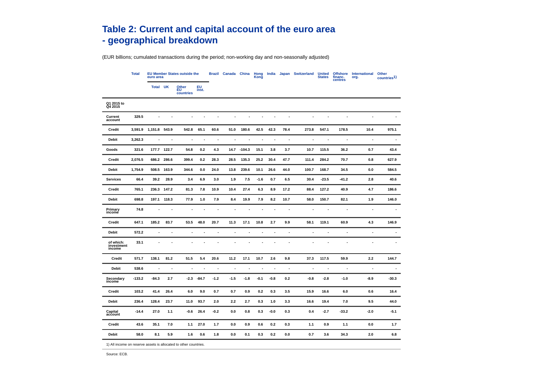# **Table 2: Current and capital account of the euro area - geographical breakdown**

(EUR billions; cumulated transactions during the period; non-working day and non-seasonally adjusted)

|                                   | <b>Total</b> | euro area    |       | <b>EU Member States outside the</b> | <b>Brazil</b> | Canada | China  | Hong<br>Kong             | India  | Japan  | <b>Switzerland</b>       | <b>United</b><br><b>States</b> | <b>Offshore</b><br>financ.<br>centres | <b>International</b><br>org. | Other<br>countries <sup>1)</sup> |                          |
|-----------------------------------|--------------|--------------|-------|-------------------------------------|---------------|--------|--------|--------------------------|--------|--------|--------------------------|--------------------------------|---------------------------------------|------------------------------|----------------------------------|--------------------------|
|                                   |              | <b>Total</b> | UK    | Other<br>EU<br>countries            | EU<br>inst.   |        |        |                          |        |        |                          |                                |                                       |                              |                                  |                          |
| Q1 2015 to<br>Q4 2015             |              |              |       |                                     |               |        |        |                          |        |        |                          |                                |                                       |                              |                                  |                          |
| Current<br>account                | 329.5        |              |       |                                     |               |        |        |                          |        |        |                          |                                |                                       |                              | ä,                               |                          |
| Credit                            | 3,591.9      | 1,151.8      | 543.9 | 542.8                               | 65.1          | 60.6   | 51.0   | 180.6                    | 42.5   | 42.3   | 78.4                     | 273.8                          | 547.1                                 | 178.5                        | 10.4                             | 975.1                    |
| Debit                             | 3,262.3      |              |       |                                     |               |        |        |                          |        |        | ÷,                       | ٠                              | Ĭ.                                    | ٠                            | $\blacksquare$                   | ٠                        |
| Goods                             | 321.6        | 177.7        | 122.7 | 54.8                                | 0.2           | 4.3    | 14.7   | $-104.3$                 | 15.1   | 3.8    | 3.7                      | 10.7                           | 115.5                                 | 36.2                         | 0.7                              | 43.4                     |
| Credit                            | 2,076.5      | 686.2        | 286.6 | 399.4                               | 0.2           | 28.3   | 28.5   | 135.3                    | 25.2   | 30.4   | 47.7                     | 111.4                          | 284.2                                 | 70.7                         | 0.8                              | 627.9                    |
| Debit                             | 1,754.9      | 508.5        | 163.9 | 344.6                               | 0.0           | 24.0   | 13.8   | 239.6                    | 10.1   | 26.6   | 44.0                     | 100.7                          | 168.7                                 | 34.5                         | 0.0                              | 584.5                    |
| <b>Services</b>                   | 66.4         | 39.2         | 28.9  | 3.4                                 | 6.9           | 3.0    | 1.9    | 7.5                      | $-1.6$ | 0.7    | 6.5                      | 30.4                           | $-23.5$                               | $-41.2$                      | 2.8                              | 40.6                     |
| Credit                            | 765.1        | 236.3        | 147.2 | 81.3                                | 7.8           | 10.9   | 10.4   | 27.4                     | 6.3    | 8.9    | 17.2                     | 88.4                           | 127.2                                 | 40.9                         | 4.7                              | 186.6                    |
| Debit                             | 698.8        | 197.1        | 118.3 | 77.9                                | 1.0           | 7.9    | 8.4    | 19.9                     | 7.9    | 8.2    | 10.7                     | 58.0                           | 150.7                                 | 82.1                         | 1.9                              | 146.0                    |
| Primary<br>income                 | 74.8         |              |       |                                     |               |        |        |                          |        |        |                          |                                |                                       |                              |                                  | $\overline{\phantom{a}}$ |
| Credit                            | 647.1        | 185.2        | 83.7  | 53.5                                | 48.0          | 20.7   | 11.3   | 17.1                     | 10.8   | 2.7    | 9.9                      | 58.1                           | 119.1                                 | 60.9                         | 4.3                              | 146.9                    |
| Debit                             | 572.2        | ÷            | ÷     | ÷                                   |               | ä,     | ä,     | ÷,                       |        |        | $\overline{\phantom{a}}$ | ä,                             | ä,                                    | $\overline{\phantom{a}}$     | $\overline{\phantom{a}}$         | $\overline{\phantom{a}}$ |
| of which:<br>investment<br>income | 33.1         |              |       |                                     |               |        |        |                          |        |        |                          |                                |                                       |                              |                                  |                          |
| Credit                            | 571.7        | 138.1        | 81.2  | 51.5                                | 5.4           | 20.6   | 11.2   | 17.1                     | 10.7   | 2.6    | 9.8                      | 37.3                           | 117.5                                 | 59.9                         | 2.2                              | 144.7                    |
| Debit                             | 538.6        | ä,           |       | ä,                                  |               | Ĭ.     | ٠      | $\overline{\phantom{a}}$ | Ĭ.     |        | ÷                        | $\overline{a}$                 | $\blacksquare$                        | $\blacksquare$               | $\overline{a}$                   | $\blacksquare$           |
| Secondary<br>income               | $-133.2$     | $-84.3$      | 2.7   | $-2.3$                              | $-84.7$       | $-1.2$ | $-1.5$ | $-1.8$                   | $-0.1$ | $-0.8$ | 0.2                      | -0.8                           | $-2.8$                                | $-1.0$                       | $-8.9$                           | $-30.3$                  |
| Credit                            | 103.2        | 41.4         | 26.4  | 6.0                                 | 9.0           | 0.7    | 0.7    | 0.9                      | 0.2    | 0.3    | 3.5                      | 15.9                           | 16.6                                  | 6.0                          | 0.6                              | 16.4                     |
| Debit                             | 236.4        | 128.4        | 23.7  | 11.0                                | 93.7          | 2.0    | 2.2    | 2.7                      | 0.3    | 1.0    | 3.3                      | 16.6                           | 19.4                                  | 7.0                          | 9.5                              | 44.0                     |
| Capital<br>account                | $-14.4$      | 27.0         | 1.1   | $-0.6$                              | 26.4          | $-0.2$ | 0.0    | 0.8                      | 0.3    | $-0.0$ | 0.3                      | 0.4                            | $-2.7$                                | $-33.2$                      | $-2.0$                           | $-5.1$                   |
| <b>Credit</b>                     | 43.6         | 35.1         | 7.0   | 1.1                                 | 27.0          | 1.7    | 0.0    | 0.9                      | 0.6    | 0.2    | 0.3                      | 1.1                            | 0.9                                   | 1.1                          | 0.0                              | 1.7                      |
| Debit                             | 58.0         | 8.1          | 5.9   | 1.6                                 | 0.6           | 1.8    | 0.0    | 0.1                      | 0.3    | 0.2    | 0.0                      | 0.7                            | 3.6                                   | 34.3                         | 2.0                              | 6.8                      |

1) All income on reserve assets is allocated to other countries.